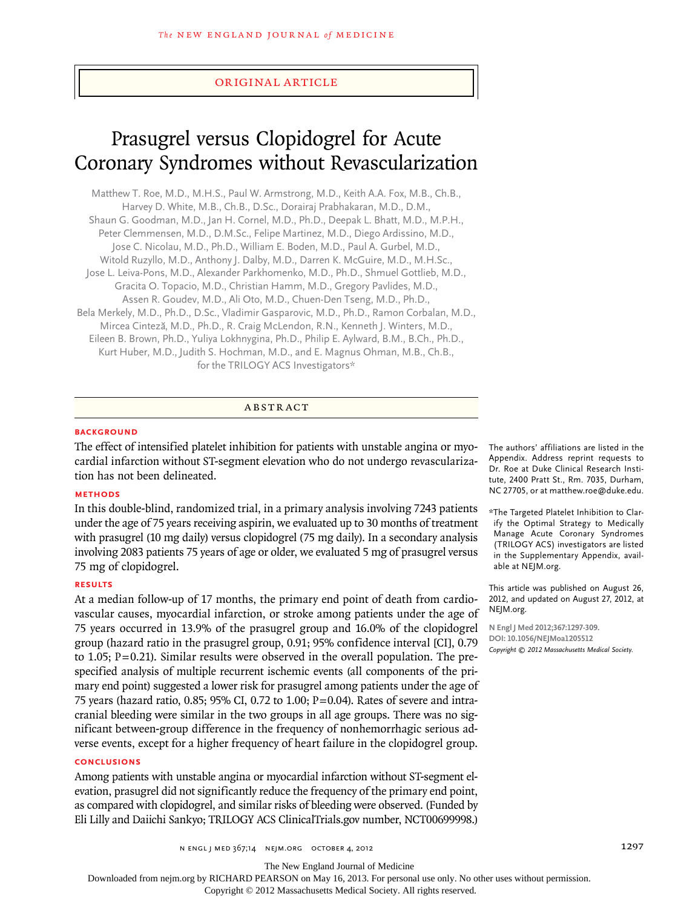#### original article

# Prasugrel versus Clopidogrel for Acute Coronary Syndromes without Revascularization

Matthew T. Roe, M.D., M.H.S., Paul W. Armstrong, M.D., Keith A.A. Fox, M.B., Ch.B., Harvey D. White, M.B., Ch.B., D.Sc., Dorairaj Prabhakaran, M.D., D.M., Shaun G. Goodman, M.D., Jan H. Cornel, M.D., Ph.D., Deepak L. Bhatt, M.D., M.P.H., Peter Clemmensen, M.D., D.M.Sc., Felipe Martinez, M.D., Diego Ardissino, M.D., Jose C. Nicolau, M.D., Ph.D., William E. Boden, M.D., Paul A. Gurbel, M.D., Witold Ruzyllo, M.D., Anthony J. Dalby, M.D., Darren K. McGuire, M.D., M.H.Sc., Jose L. Leiva-Pons, M.D., Alexander Parkhomenko, M.D., Ph.D., Shmuel Gottlieb, M.D., Gracita O. Topacio, M.D., Christian Hamm, M.D., Gregory Pavlides, M.D., Assen R. Goudev, M.D., Ali Oto, M.D., Chuen-Den Tseng, M.D., Ph.D., Bela Merkely, M.D., Ph.D., D.Sc., Vladimir Gasparovic, M.D., Ph.D., Ramon Corbalan, M.D., Mircea Cinteză, M.D., Ph.D., R. Craig McLendon, R.N., Kenneth J. Winters, M.D., Eileen B. Brown, Ph.D., Yuliya Lokhnygina, Ph.D., Philip E. Aylward, B.M., B.Ch., Ph.D., Kurt Huber, M.D., Judith S. Hochman, M.D., and E. Magnus Ohman, M.B., Ch.B., for the TRILOGY ACS Investigators\*

# **ABSTRACT**

#### **BACKGROUND**

The effect of intensified platelet inhibition for patients with unstable angina or myocardial infarction without ST-segment elevation who do not undergo revascularization has not been delineated.

#### **Methods**

In this double-blind, randomized trial, in a primary analysis involving 7243 patients under the age of 75 years receiving aspirin, we evaluated up to 30 months of treatment with prasugrel (10 mg daily) versus clopidogrel (75 mg daily). In a secondary analysis involving 2083 patients 75 years of age or older, we evaluated 5 mg of prasugrel versus 75 mg of clopidogrel.

#### **Results**

At a median follow-up of 17 months, the primary end point of death from cardiovascular causes, myocardial infarction, or stroke among patients under the age of 75 years occurred in 13.9% of the prasugrel group and 16.0% of the clopidogrel group (hazard ratio in the prasugrel group, 0.91; 95% confidence interval [CI], 0.79 to 1.05;  $P=0.21$ ). Similar results were observed in the overall population. The prespecified analysis of multiple recurrent ischemic events (all components of the primary end point) suggested a lower risk for prasugrel among patients under the age of 75 years (hazard ratio, 0.85; 95% CI, 0.72 to 1.00; P=0.04). Rates of severe and intracranial bleeding were similar in the two groups in all age groups. There was no significant between-group difference in the frequency of nonhemorrhagic serious adverse events, except for a higher frequency of heart failure in the clopidogrel group.

## **Conclusions**

Among patients with unstable angina or myocardial infarction without ST-segment elevation, prasugrel did not significantly reduce the frequency of the primary end point, as compared with clopidogrel, and similar risks of bleeding were observed. (Funded by Eli Lilly and Daiichi Sankyo; TRILOGY ACS ClinicalTrials.gov number, NCT00699998.)

The authors' affiliations are listed in the Appendix. Address reprint requests to Dr. Roe at Duke Clinical Research Institute, 2400 Pratt St., Rm. 7035, Durham, NC 27705, or at matthew.roe@duke.edu.

\*The Targeted Platelet Inhibition to Clarify the Optimal Strategy to Medically Manage Acute Coronary Syndromes (TRILOGY ACS) investigators are listed in the Supplementary Appendix, available at NEJM.org.

This article was published on August 26, 2012, and updated on August 27, 2012, at NEJM.org.

**N Engl J Med 2012;367:1297-309. DOI: 10.1056/NEJMoa1205512** *Copyright © 2012 Massachusetts Medical Society.*

The New England Journal of Medicine

Downloaded from nejm.org by RICHARD PEARSON on May 16, 2013. For personal use only. No other uses without permission.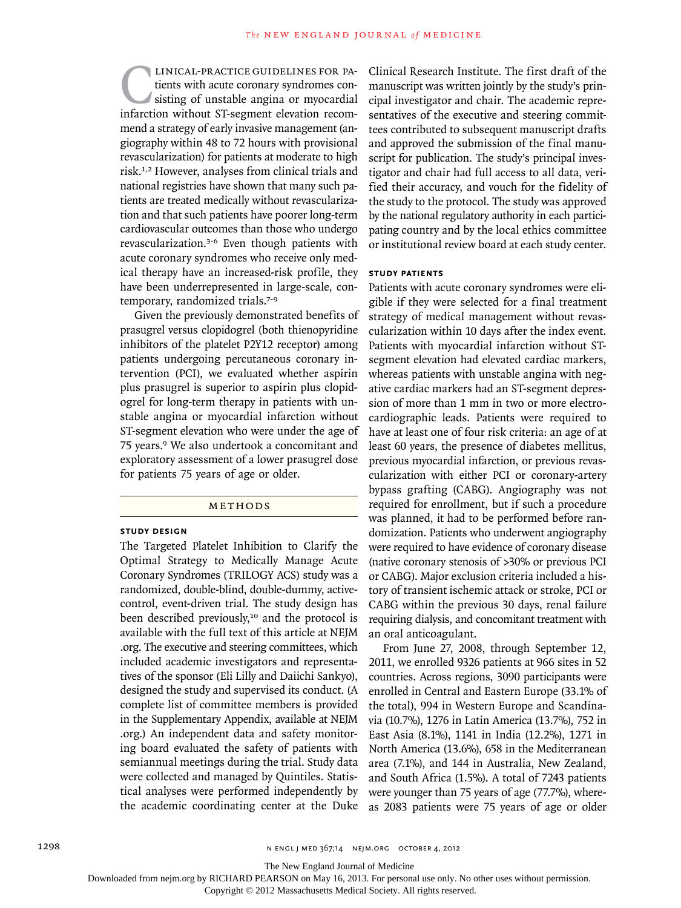LINICAL-PRACTICE GUIDELINES FOR PA-<br>tients with acute coronary syndromes con-<br>sisting of unstable angina or myocardial<br>infarction without ST-segment elevation recomtients with acute coronary syndromes consisting of unstable angina or myocardial mend a strategy of early invasive management (angiography within 48 to 72 hours with provisional revascularization) for patients at moderate to high risk.1,2 However, analyses from clinical trials and national registries have shown that many such patients are treated medically without revascularization and that such patients have poorer long-term cardiovascular outcomes than those who undergo revascularization.3-6 Even though patients with acute coronary syndromes who receive only medical therapy have an increased-risk profile, they have been underrepresented in large-scale, contemporary, randomized trials.7-9

Given the previously demonstrated benefits of prasugrel versus clopidogrel (both thienopyridine inhibitors of the platelet P2Y12 receptor) among patients undergoing percutaneous coronary intervention (PCI), we evaluated whether aspirin plus prasugrel is superior to aspirin plus clopidogrel for long-term therapy in patients with unstable angina or myocardial infarction without ST-segment elevation who were under the age of 75 years.9 We also undertook a concomitant and exploratory assessment of a lower prasugrel dose for patients 75 years of age or older.

#### METHODS

# **Study Design**

The Targeted Platelet Inhibition to Clarify the Optimal Strategy to Medically Manage Acute Coronary Syndromes (TRILOGY ACS) study was a randomized, double-blind, double-dummy, activecontrol, event-driven trial. The study design has been described previously,<sup>10</sup> and the protocol is available with the full text of this article at NEJM .org. The executive and steering committees, which included academic investigators and representatives of the sponsor (Eli Lilly and Daiichi Sankyo), designed the study and supervised its conduct. (A complete list of committee members is provided in the Supplementary Appendix, available at NEJM .org.) An independent data and safety monitoring board evaluated the safety of patients with semiannual meetings during the trial. Study data were collected and managed by Quintiles. Statistical analyses were performed independently by the academic coordinating center at the Duke Clinical Research Institute. The first draft of the manuscript was written jointly by the study's principal investigator and chair. The academic representatives of the executive and steering committees contributed to subsequent manuscript drafts and approved the submission of the final manuscript for publication. The study's principal investigator and chair had full access to all data, verified their accuracy, and vouch for the fidelity of the study to the protocol. The study was approved by the national regulatory authority in each participating country and by the local ethics committee or institutional review board at each study center.

## **Study Patients**

Patients with acute coronary syndromes were eligible if they were selected for a final treatment strategy of medical management without revascularization within 10 days after the index event. Patients with myocardial infarction without STsegment elevation had elevated cardiac markers, whereas patients with unstable angina with negative cardiac markers had an ST-segment depression of more than 1 mm in two or more electrocardiographic leads. Patients were required to have at least one of four risk criteria: an age of at least 60 years, the presence of diabetes mellitus, previous myocardial infarction, or previous revascularization with either PCI or coronary-artery bypass grafting (CABG). Angiography was not required for enrollment, but if such a procedure was planned, it had to be performed before randomization. Patients who underwent angiography were required to have evidence of coronary disease (native coronary stenosis of >30% or previous PCI or CABG). Major exclusion criteria included a history of transient ischemic attack or stroke, PCI or CABG within the previous 30 days, renal failure requiring dialysis, and concomitant treatment with an oral anticoagulant.

From June 27, 2008, through September 12, 2011, we enrolled 9326 patients at 966 sites in 52 countries. Across regions, 3090 participants were enrolled in Central and Eastern Europe (33.1% of the total), 994 in Western Europe and Scandinavia (10.7%), 1276 in Latin America (13.7%), 752 in East Asia (8.1%), 1141 in India (12.2%), 1271 in North America (13.6%), 658 in the Mediterranean area (7.1%), and 144 in Australia, New Zealand, and South Africa (1.5%). A total of 7243 patients were younger than 75 years of age (77.7%), whereas 2083 patients were 75 years of age or older

The New England Journal of Medicine

Downloaded from nejm.org by RICHARD PEARSON on May 16, 2013. For personal use only. No other uses without permission.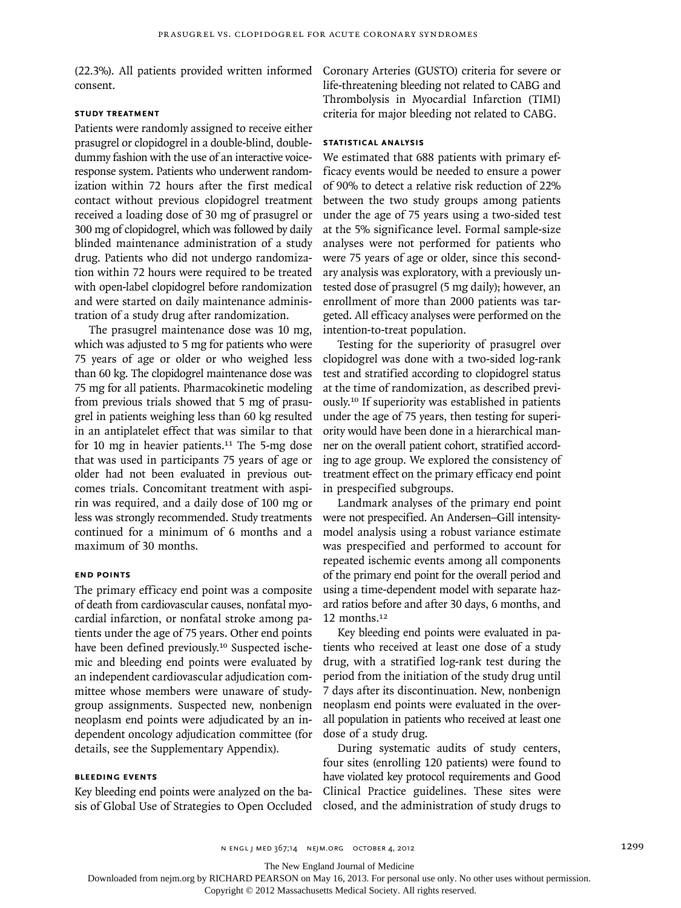(22.3%). All patients provided written informed Coronary Arteries (GUSTO) criteria for severe or consent.

## **Study Treatment**

Patients were randomly assigned to receive either prasugrel or clopidogrel in a double-blind, doubledummy fashion with the use of an interactive voiceresponse system. Patients who underwent randomization within 72 hours after the first medical contact without previous clopidogrel treatment received a loading dose of 30 mg of prasugrel or 300 mg of clopidogrel, which was followed by daily blinded maintenance administration of a study drug. Patients who did not undergo randomization within 72 hours were required to be treated with open-label clopidogrel before randomization and were started on daily maintenance administration of a study drug after randomization.

The prasugrel maintenance dose was 10 mg, which was adjusted to 5 mg for patients who were 75 years of age or older or who weighed less than 60 kg. The clopidogrel maintenance dose was 75 mg for all patients. Pharmacokinetic modeling from previous trials showed that 5 mg of prasugrel in patients weighing less than 60 kg resulted in an antiplatelet effect that was similar to that for 10 mg in heavier patients.<sup>11</sup> The 5-mg dose that was used in participants 75 years of age or older had not been evaluated in previous outcomes trials. Concomitant treatment with aspirin was required, and a daily dose of 100 mg or less was strongly recommended. Study treatments continued for a minimum of 6 months and a maximum of 30 months.

### **End Points**

The primary efficacy end point was a composite of death from cardiovascular causes, nonfatal myocardial infarction, or nonfatal stroke among patients under the age of 75 years. Other end points have been defined previously.10 Suspected ischemic and bleeding end points were evaluated by an independent cardiovascular adjudication committee whose members were unaware of studygroup assignments. Suspected new, nonbenign neoplasm end points were adjudicated by an independent oncology adjudication committee (for details, see the Supplementary Appendix).

#### **Bleeding Events**

Key bleeding end points were analyzed on the basis of Global Use of Strategies to Open Occluded life-threatening bleeding not related to CABG and Thrombolysis in Myocardial Infarction (TIMI) criteria for major bleeding not related to CABG.

# **Statistical Analysis**

We estimated that 688 patients with primary efficacy events would be needed to ensure a power of 90% to detect a relative risk reduction of 22% between the two study groups among patients under the age of 75 years using a two-sided test at the 5% significance level. Formal sample-size analyses were not performed for patients who were 75 years of age or older, since this secondary analysis was exploratory, with a previously untested dose of prasugrel (5 mg daily); however, an enrollment of more than 2000 patients was targeted. All efficacy analyses were performed on the intention-to-treat population.

Testing for the superiority of prasugrel over clopidogrel was done with a two-sided log-rank test and stratified according to clopidogrel status at the time of randomization, as described previously.10 If superiority was established in patients under the age of 75 years, then testing for superiority would have been done in a hierarchical manner on the overall patient cohort, stratified according to age group. We explored the consistency of treatment effect on the primary efficacy end point in prespecified subgroups.

Landmark analyses of the primary end point were not prespecified. An Andersen–Gill intensitymodel analysis using a robust variance estimate was prespecified and performed to account for repeated ischemic events among all components of the primary end point for the overall period and using a time-dependent model with separate hazard ratios before and after 30 days, 6 months, and 12 months.<sup>12</sup>

Key bleeding end points were evaluated in patients who received at least one dose of a study drug, with a stratified log-rank test during the period from the initiation of the study drug until 7 days after its discontinuation. New, nonbenign neoplasm end points were evaluated in the overall population in patients who received at least one dose of a study drug.

During systematic audits of study centers, four sites (enrolling 120 patients) were found to have violated key protocol requirements and Good Clinical Practice guidelines. These sites were closed, and the administration of study drugs to

The New England Journal of Medicine

Downloaded from nejm.org by RICHARD PEARSON on May 16, 2013. For personal use only. No other uses without permission.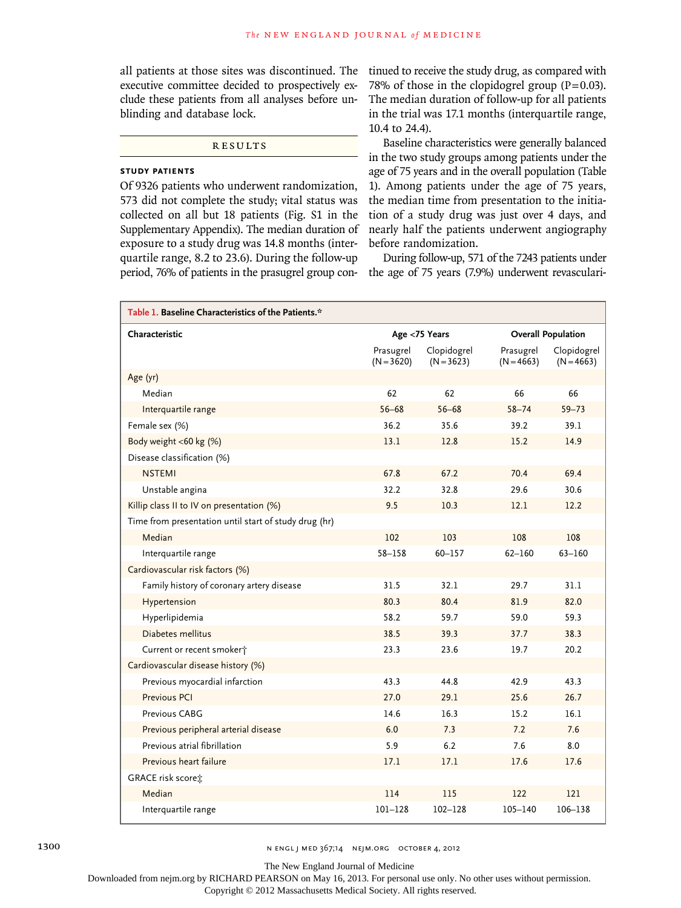all patients at those sites was discontinued. The tinued to receive the study drug, as compared with executive committee decided to prospectively exclude these patients from all analyses before unblinding and database lock.

#### **RESULTS**

# **Study Patients**

Of 9326 patients who underwent randomization, 573 did not complete the study; vital status was collected on all but 18 patients (Fig. S1 in the Supplementary Appendix). The median duration of exposure to a study drug was 14.8 months (interquartile range, 8.2 to 23.6). During the follow-up period, 76% of patients in the prasugrel group con-

78% of those in the clopidogrel group  $(P=0.03)$ . The median duration of follow-up for all patients in the trial was 17.1 months (interquartile range, 10.4 to 24.4).

Baseline characteristics were generally balanced in the two study groups among patients under the age of 75 years and in the overall population (Table 1). Among patients under the age of 75 years, the median time from presentation to the initiation of a study drug was just over 4 days, and nearly half the patients underwent angiography before randomization.

During follow-up, 571 of the 7243 patients under the age of 75 years (7.9%) underwent revasculari-

| Table 1. Baseline Characteristics of the Patients.*   |                           |                             |                           |                             |
|-------------------------------------------------------|---------------------------|-----------------------------|---------------------------|-----------------------------|
| Characteristic                                        |                           | Age <75 Years               |                           | <b>Overall Population</b>   |
|                                                       | Prasugrel<br>$(N = 3620)$ | Clopidogrel<br>$(N = 3623)$ | Prasugrel<br>$(N = 4663)$ | Clopidogrel<br>$(N = 4663)$ |
| Age (yr)                                              |                           |                             |                           |                             |
| Median                                                | 62                        | 62                          | 66                        | 66                          |
| Interquartile range                                   | $56 - 68$                 | $56 - 68$                   | $58 - 74$                 | $59 - 73$                   |
| Female sex (%)                                        | 36.2                      | 35.6                        | 39.2                      | 39.1                        |
| Body weight <60 kg (%)                                | 13.1                      | 12.8                        | 15.2                      | 14.9                        |
| Disease classification (%)                            |                           |                             |                           |                             |
| <b>NSTEMI</b>                                         | 67.8                      | 67.2                        | 70.4                      | 69.4                        |
| Unstable angina                                       | 32.2                      | 32.8                        | 29.6                      | 30.6                        |
| Killip class II to IV on presentation (%)             | 9.5                       | 10.3                        | 12.1                      | 12.2                        |
| Time from presentation until start of study drug (hr) |                           |                             |                           |                             |
| Median                                                | 102                       | 103                         | 108                       | 108                         |
| Interquartile range                                   | $58 - 158$                | 60-157                      | $62 - 160$                | 63-160                      |
| Cardiovascular risk factors (%)                       |                           |                             |                           |                             |
| Family history of coronary artery disease             | 31.5                      | 32.1                        | 29.7                      | 31.1                        |
| Hypertension                                          | 80.3                      | 80.4                        | 81.9                      | 82.0                        |
| Hyperlipidemia                                        | 58.2                      | 59.7                        | 59.0                      | 59.3                        |
| Diabetes mellitus                                     | 38.5                      | 39.3                        | 37.7                      | 38.3                        |
| Current or recent smokert                             | 23.3                      | 23.6                        | 19.7                      | 20.2                        |
| Cardiovascular disease history (%)                    |                           |                             |                           |                             |
| Previous myocardial infarction                        | 43.3                      | 44.8                        | 42.9                      | 43.3                        |
| <b>Previous PCI</b>                                   | 27.0                      | 29.1                        | 25.6                      | 26.7                        |
| Previous CABG                                         | 14.6                      | 16.3                        | 15.2                      | 16.1                        |
| Previous peripheral arterial disease                  | 6.0                       | 7.3                         | 7.2                       | 7.6                         |
| Previous atrial fibrillation                          | 5.9                       | 6.2                         | 7.6                       | 8.0                         |
| Previous heart failure                                | 17.1                      | 17.1                        | 17.6                      | 17.6                        |
| GRACE risk score <sup>t</sup>                         |                           |                             |                           |                             |
| Median                                                | 114                       | 115                         | 122                       | 121                         |
| Interquartile range                                   | $101 - 128$               | $102 - 128$                 | $105 - 140$               | 106-138                     |

1300 **n engl j med 367;14** nejm.org october 4, 2012

The New England Journal of Medicine

Downloaded from nejm.org by RICHARD PEARSON on May 16, 2013. For personal use only. No other uses without permission.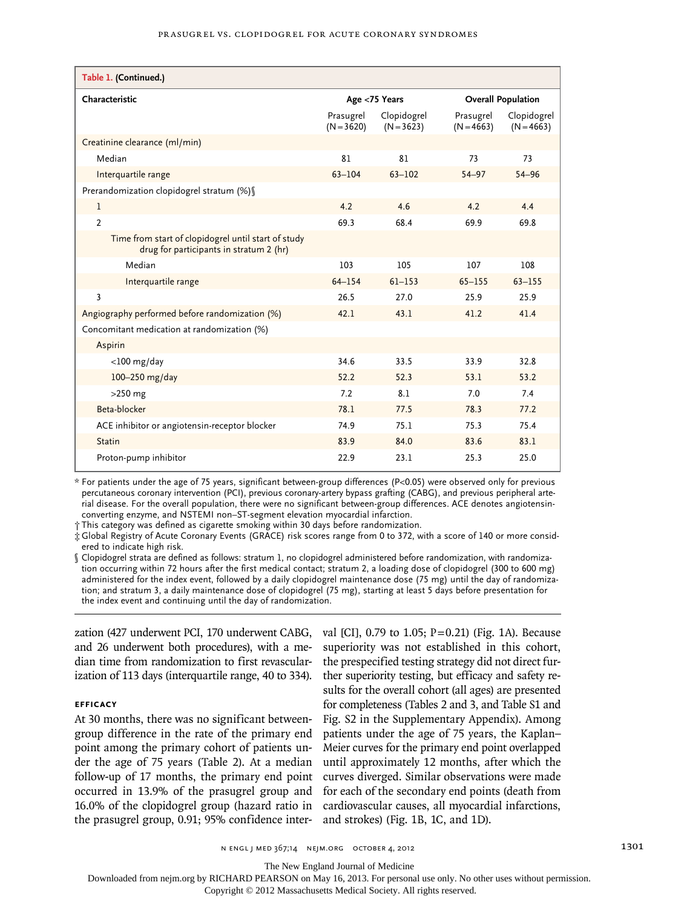| Table 1. (Continued.)                                                                          |                           |                             |                           |                             |
|------------------------------------------------------------------------------------------------|---------------------------|-----------------------------|---------------------------|-----------------------------|
| Characteristic                                                                                 |                           | Age <75 Years               |                           | <b>Overall Population</b>   |
|                                                                                                | Prasugrel<br>$(N = 3620)$ | Clopidogrel<br>$(N = 3623)$ | Prasugrel<br>$(N = 4663)$ | Clopidogrel<br>$(N = 4663)$ |
| Creatinine clearance (ml/min)                                                                  |                           |                             |                           |                             |
| Median                                                                                         | 81                        | 81                          | 73                        | 73                          |
| Interquartile range                                                                            | $63 - 104$                | $63 - 102$                  | $54 - 97$                 | $54 - 96$                   |
| Prerandomization clopidogrel stratum (%) §                                                     |                           |                             |                           |                             |
| $\mathbf{1}$                                                                                   | 4.2                       | 4.6                         | 4.2                       | 4.4                         |
| $\overline{2}$                                                                                 | 69.3                      | 68.4                        | 69.9                      | 69.8                        |
| Time from start of clopidogrel until start of study<br>drug for participants in stratum 2 (hr) |                           |                             |                           |                             |
| Median                                                                                         | 103                       | 105                         | 107                       | 108                         |
| Interquartile range                                                                            | $64 - 154$                | $61 - 153$                  | $65 - 155$                | $63 - 155$                  |
| 3                                                                                              | 26.5                      | 27.0                        | 25.9                      | 25.9                        |
| Angiography performed before randomization (%)                                                 | 42.1                      | 43.1                        | 41.2                      | 41.4                        |
| Concomitant medication at randomization (%)                                                    |                           |                             |                           |                             |
| Aspirin                                                                                        |                           |                             |                           |                             |
| $<$ 100 mg/day                                                                                 | 34.6                      | 33.5                        | 33.9                      | 32.8                        |
| 100-250 mg/day                                                                                 | 52.2                      | 52.3                        | 53.1                      | 53.2                        |
| $>250$ mg                                                                                      | 7.2                       | 8.1                         | 7.0                       | 7.4                         |
| Beta-blocker                                                                                   | 78.1                      | 77.5                        | 78.3                      | 77.2                        |
| ACE inhibitor or angiotensin-receptor blocker                                                  | 74.9                      | 75.1                        | 75.3                      | 75.4                        |
| <b>Statin</b>                                                                                  | 83.9                      | 84.0                        | 83.6                      | 83.1                        |
| Proton-pump inhibitor                                                                          | 22.9                      | 23.1                        | 25.3                      | 25.0                        |

\* For patients under the age of 75 years, significant between-group differences (P<0.05) were observed only for previous percutaneous coronary intervention (PCI), previous coronary-artery bypass grafting (CABG), and previous peripheral arterial disease. For the overall population, there were no significant between-group differences. ACE denotes angiotensinconverting enzyme, and NSTEMI non–ST-segment elevation myocardial infarction.

† This category was defined as cigarette smoking within 30 days before randomization.

‡ Global Registry of Acute Coronary Events (GRACE) risk scores range from 0 to 372, with a score of 140 or more considered to indicate high risk.

§ Clopidogrel strata are defined as follows: stratum 1, no clopidogrel administered before randomization, with randomization occurring within 72 hours after the first medical contact; stratum 2, a loading dose of clopidogrel (300 to 600 mg) administered for the index event, followed by a daily clopidogrel maintenance dose (75 mg) until the day of randomization; and stratum 3, a daily maintenance dose of clopidogrel (75 mg), starting at least 5 days before presentation for the index event and continuing until the day of randomization.

zation (427 underwent PCI, 170 underwent CABG, and 26 underwent both procedures), with a median time from randomization to first revascularization of 113 days (interquartile range, 40 to 334).

#### **Efficacy**

At 30 months, there was no significant betweengroup difference in the rate of the primary end point among the primary cohort of patients under the age of 75 years (Table 2). At a median follow-up of 17 months, the primary end point occurred in 13.9% of the prasugrel group and 16.0% of the clopidogrel group (hazard ratio in the prasugrel group, 0.91; 95% confidence interval [CI], 0.79 to 1.05;  $P = 0.21$ ) (Fig. 1A). Because superiority was not established in this cohort, the prespecified testing strategy did not direct further superiority testing, but efficacy and safety results for the overall cohort (all ages) are presented for completeness (Tables 2 and 3, and Table S1 and Fig. S2 in the Supplementary Appendix). Among patients under the age of 75 years, the Kaplan– Meier curves for the primary end point overlapped until approximately 12 months, after which the curves diverged. Similar observations were made for each of the secondary end points (death from cardiovascular causes, all myocardial infarctions, and strokes) (Fig. 1B, 1C, and 1D).

The New England Journal of Medicine

Downloaded from nejm.org by RICHARD PEARSON on May 16, 2013. For personal use only. No other uses without permission.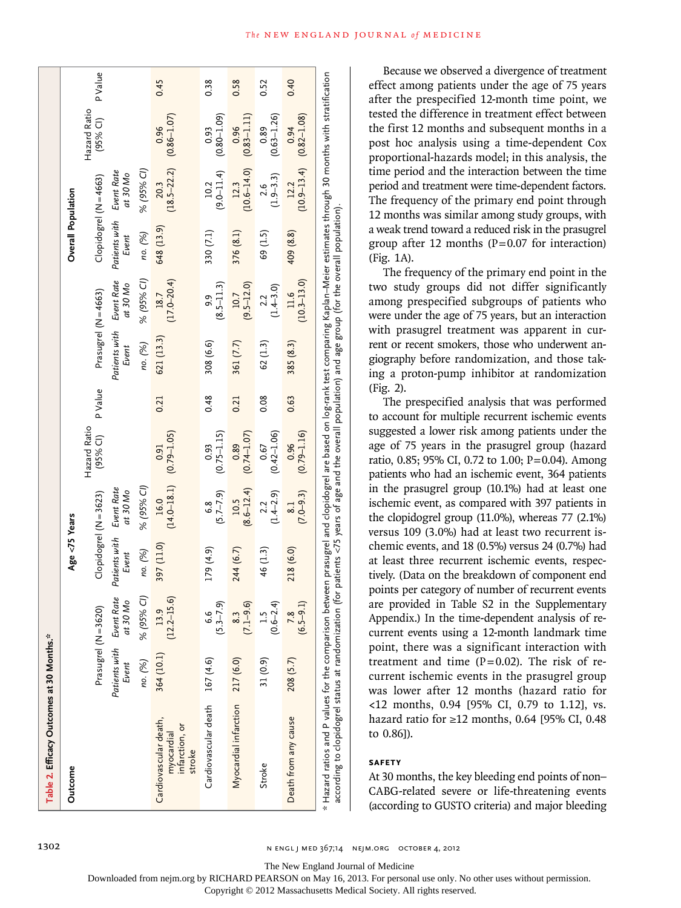| Table 2. Efficacy Outcomes at 30 Months.*                                                                                                                                                                                                                                                                                                      |            |                                          |                             |                                           |                          |        |                                   |                                                    |                                   |                             |                            |         |
|------------------------------------------------------------------------------------------------------------------------------------------------------------------------------------------------------------------------------------------------------------------------------------------------------------------------------------------------|------------|------------------------------------------|-----------------------------|-------------------------------------------|--------------------------|--------|-----------------------------------|----------------------------------------------------|-----------------------------------|-----------------------------|----------------------------|---------|
| Outcome                                                                                                                                                                                                                                                                                                                                        |            |                                          | Age <75 Years               |                                           |                          |        |                                   |                                                    | Overall Population                |                             |                            |         |
|                                                                                                                                                                                                                                                                                                                                                |            | Prasugrel (N = 3620)                     | $C$ lopidogrel (N= $3623$ ) |                                           | Hazard Ratio<br>(95% CI) | PValue |                                   | Prasugrel (N = 4663)                               |                                   | $C$ lopidogrel (N= $4663$ ) | Hazard Ratio<br>$(95%$ CI) | P Value |
|                                                                                                                                                                                                                                                                                                                                                | Event      | Patients with Event Rate<br>at 30 Mo     | Patients with<br>Event      | Event Rate<br>at 30 Mo                    |                          |        | Patients with Event Rate<br>Event | at 30 Mo                                           | Patients with Event Rate<br>Event | at 30 Mo                    |                            |         |
|                                                                                                                                                                                                                                                                                                                                                | no. (%)    | % (95% CI)                               | no. (%)                     | % (95% CI)                                |                          |        | no. (%)                           | % (95% CI)                                         | no. (%)                           | % (95% CI)                  |                            |         |
| Cardiovascular death,<br>infarction, or<br>myocardial<br>stroke                                                                                                                                                                                                                                                                                | 364 (10.1) | $\widetilde{6}$<br>13.9<br>$(12.2 - 15.$ | 397 (11.0)                  | $(14.0 - 18.1)$<br>16.0                   | $(0.79 - 1.05)$<br>0.91  | 0.21   | 621 (13.3)                        | $18.7$<br>(17.0-20.4)                              | 648 (13.9)                        | $(18.5 - 22.2)$<br>20.3     | $(0.86 - 1.07)$<br>0.96    | 0.45    |
| Cardiovascular death 167 (4.6)                                                                                                                                                                                                                                                                                                                 |            | $(5.3 - 7.9)$<br><b>م</b><br>فا          | 179 (4.9)                   | $6.8$<br>(5.7–7.9)                        | $(0.75 - 1.15)$<br>0.93  | 0.48   | 308 (6.6)                         | $\begin{array}{c} 9.9 \\ (8.5 - 11.3) \end{array}$ | 330 (7.1)                         | $10.2$<br>(9.0–11.4)        | $(0.80 - 1.09)$<br>0.93    | 0.38    |
| Myocardial infarction 217 (6.0)                                                                                                                                                                                                                                                                                                                |            | $(7.1 - 9.6)$<br>8.3                     | 244 (6.7)                   | $(8.6 - 12.4)$<br>10.5                    | $(0.74 - 1.07)$<br>0.89  | 0.21   | 361 (7.7)                         | $10.7$<br>$(9.5-12.0)$                             | 376 (8.1)                         | $(10.6 - 14.0)$<br>12.3     | $(0.83 - 1.11)$<br>0.96    | 0.58    |
| Stroke                                                                                                                                                                                                                                                                                                                                         | 31 (0.9)   | $(0.6 - 2.4)$<br>1.5                     | 46 (1.3)                    | $(1.4 - 2.9)$<br>2.2                      | $(0.42 - 1.06)$<br>0.67  | 0.08   | 62 (1.3)                          | $\begin{array}{c} 2.2 \\ (1.4 - 3.0) \end{array}$  | 69 (1.5)                          | $(1.9 - 3.3)$<br>2.6        | $(0.63 - 1.26)$<br>0.89    | 0.52    |
| Death from any cause                                                                                                                                                                                                                                                                                                                           | 208 (5.7)  | $(6.5 - 9.1)$<br>7.8                     | 218 (6.0)                   | $(7.0 - 9.3)$<br>$\overline{\phantom{0}}$ | $(0.79 - 1.16)$<br>0.96  | 0.63   | 385 (8.3)                         | $(10.3 - 13.0)$<br>11.6                            | 409 (8.8)                         | $(10.9 - 13.4)$<br>12.2     | $(0.82 - 1.08)$<br>0.94    | 0.40    |
| * Hazard ratios and P values for the comparison between prasugrel and clopidogrel are based on log-rank test comparing Kaplan–Meier estimates through 30 months with stratification<br>according to clopidogrel status at randomization (for patients <75 years of age and the overall population) and age group (for the overall population). |            |                                          |                             |                                           |                          |        |                                   |                                                    |                                   |                             |                            |         |

Because we observed a divergence of treatment effect among patients under the age of 75 years after the prespecified 12-month time point, we tested the difference in treatment effect between the first 12 months and subsequent months in a post hoc analysis using a time-dependent Cox proportional-hazards model; in this analysis, the time period and the interaction between the time period and treatment were time-dependent factors. The frequency of the primary end point through 12 months was similar among study groups, with a weak trend toward a reduced risk in the prasugrel group after 12 months  $(P=0.07$  for interaction) (Fig. 1A).

The frequency of the primary end point in the two study groups did not differ significantly among prespecified subgroups of patients who were under the age of 75 years, but an interaction with prasugrel treatment was apparent in current or recent smokers, those who underwent angiography before randomization, and those taking a proton-pump inhibitor at randomization (Fig. 2).

The prespecified analysis that was performed to account for multiple recurrent ischemic events suggested a lower risk among patients under the age of 75 years in the prasugrel group (hazard ratio, 0.85; 95% CI, 0.72 to 1.00; P=0.04). Among patients who had an ischemic event, 364 patients in the prasugrel group (10.1%) had at least one ischemic event, as compared with 397 patients in the clopidogrel group (11.0%), whereas 77 (2.1%) versus 109 (3.0%) had at least two recurrent ischemic events, and 18 (0.5%) versus 24 (0.7%) had at least three recurrent ischemic events, respectively. (Data on the breakdown of component end points per category of number of recurrent events are provided in Table S2 in the Supplementary Appendix.) In the time-dependent analysis of recurrent events using a 12-month landmark time point, there was a significant interaction with treatment and time  $(P=0.02)$ . The risk of recurrent ischemic events in the prasugrel group was lower after 12 months (hazard ratio for <12 months, 0.94 [95% CI, 0.79 to 1.12], vs. hazard ratio for  $\geq$ 12 months, 0.64 [95% CI, 0.48] to 0.86]).

## **Safety**

At 30 months, the key bleeding end points of non– CABG-related severe or life-threatening events (according to GUSTO criteria) and major bleeding

The New England Journal of Medicine

Downloaded from nejm.org by RICHARD PEARSON on May 16, 2013. For personal use only. No other uses without permission.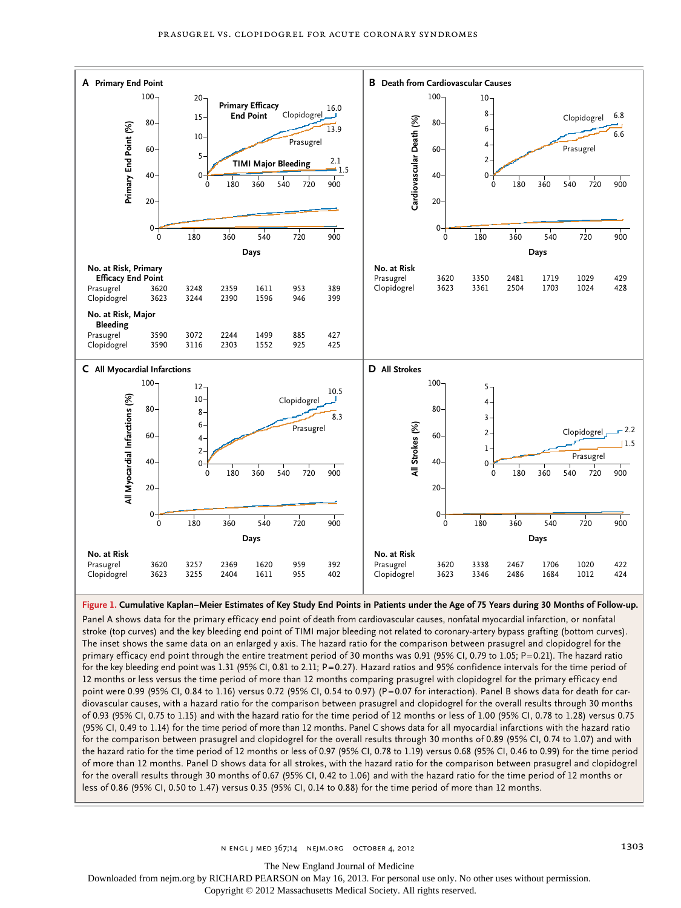

**Figure 1. Cumulative Kaplan–Meier Estimates of Key Study End Points in Patients under the Age of 75 Years during 30 Months of Follow-up.**

Panel A shows data for the primary efficacy end point of death from cardiovascular causes, nonfatal myocardial infarction, or nonfatal stroke (top curves) and the key bleeding end point of TIMI major bleeding not related to coronary-artery bypass grafting (bottom curves). The inset shows the same data on an enlarged y axis. The hazard ratio for the comparison between prasugrel and clopidogrel for the primary efficacy end point through the entire treatment period of 30 months was 0.91 (95% CI, 0.79 to 1.05; P=0.21). The hazard ratio for the key bleeding end point was 1.31 (95% CI, 0.81 to 2.11; P=0.27). Hazard ratios and 95% confidence intervals for the time period of 12 months or less versus the time period of more than 12 months comparing prasugrel with clopidogrel for the primary efficacy end point were 0.99 (95% CI, 0.84 to 1.16) versus 0.72 (95% CI, 0.54 to 0.97) (P=0.07 for interaction). Panel B shows data for death for cardiovascular causes, with a hazard ratio for the comparison between prasugrel and clopidogrel for the overall results through 30 months of 0.93 (95% CI, 0.75 to 1.15) and with the hazard ratio for the time period of 12 months or less of 1.00 (95% CI, 0.78 to 1.28) versus 0.75 (95% CI, 0.49 to 1.14) for the time period of more than 12 months. Panel C shows data for all myocardial infarctions with the hazard ratio for the comparison between prasugrel and clopidogrel for the overall results through 30 months of 0.89 (95% CI, 0.74 to 1.07) and with the hazard ratio for the time period of 12 months or less of 0.97 (95% CI, 0.78 to 1.19) versus 0.68 (95% CI, 0.46 to 0.99) for the time period of more than 12 months. Panel D shows data for all strokes, with the hazard ratio for the comparison between prasugrel and clopidogrel for the overall results through 30 months of 0.67 (95% CI, 0.42 to 1.06) and with the hazard ratio for the time period of 12 months or less of 0.86 (95% CI, 0.50 to 1.47) versus 0.35 (95% CI, 0.14 to 0.88) for the time period of more than 12 months.

n engl j med 367;14 nejm.org october 4, 2012 1303

The New England Journal of Medicine

Downloaded from nejm.org by RICHARD PEARSON on May 16, 2013. For personal use only. No other uses without permission.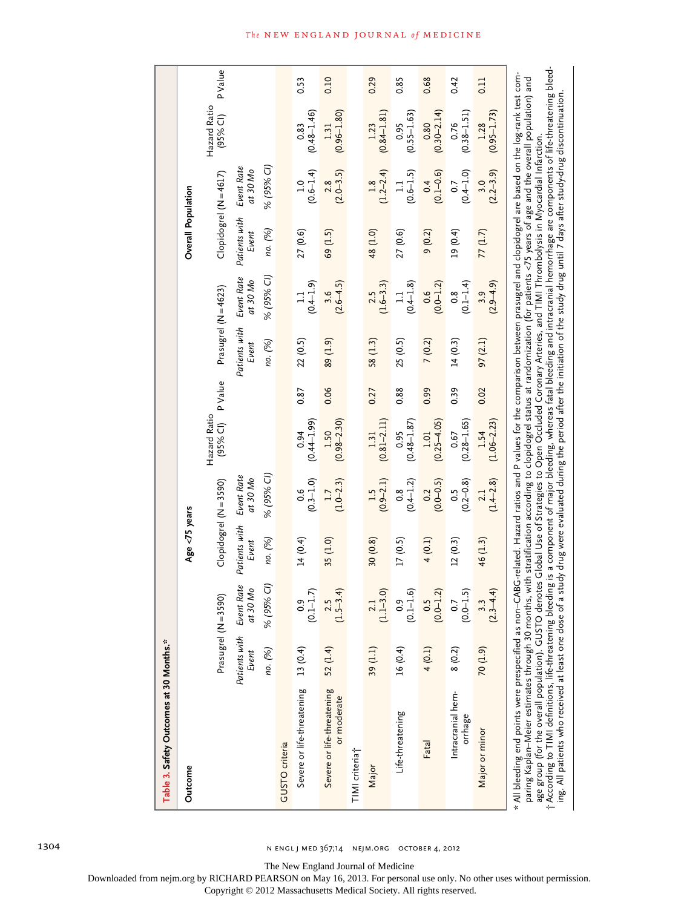| Table 3. Safety Outcomes at 30 Months.*                                                                                                                                                                                                                                                                                                                                                                                                                                                                                                                                                                                                                                                                                                                                                                                                                                                                                                  |          |                                                 |                        |                                |                            |         |                        |                                                   |                        |                               |                          |         |
|------------------------------------------------------------------------------------------------------------------------------------------------------------------------------------------------------------------------------------------------------------------------------------------------------------------------------------------------------------------------------------------------------------------------------------------------------------------------------------------------------------------------------------------------------------------------------------------------------------------------------------------------------------------------------------------------------------------------------------------------------------------------------------------------------------------------------------------------------------------------------------------------------------------------------------------|----------|-------------------------------------------------|------------------------|--------------------------------|----------------------------|---------|------------------------|---------------------------------------------------|------------------------|-------------------------------|--------------------------|---------|
| Outcome                                                                                                                                                                                                                                                                                                                                                                                                                                                                                                                                                                                                                                                                                                                                                                                                                                                                                                                                  |          |                                                 | Age <75 years          |                                |                            |         |                        |                                                   | Overall Population     |                               |                          |         |
|                                                                                                                                                                                                                                                                                                                                                                                                                                                                                                                                                                                                                                                                                                                                                                                                                                                                                                                                          |          | Prasugrel (N=3590)                              |                        | $C$ lopidogrel ( $N = 3590$ )  | Hazard Ratio<br>$(95%$ CI) | P Value | Prasugrel (N=4623)     |                                                   |                        | $C$ lopidogrel ( $N = 4617$ ) | Hazard Ratio<br>(95% CI) | P Value |
|                                                                                                                                                                                                                                                                                                                                                                                                                                                                                                                                                                                                                                                                                                                                                                                                                                                                                                                                          | Event    | Patients with Event Rate<br>at 30 Mo            | Patients with<br>Event | Event Rate<br>at 30 Mo         |                            |         | Patients with<br>Event | Event Rate<br>at 30 Mo                            | Patients with<br>Event | Event Rate<br>at 30 Mo        |                          |         |
|                                                                                                                                                                                                                                                                                                                                                                                                                                                                                                                                                                                                                                                                                                                                                                                                                                                                                                                                          | no. (%)  | % (95% CI)                                      | no. (%)                | % (95% CI)                     |                            |         | no. (%)                | % (95% CI)                                        | no. (%)                | % (95% CI)                    |                          |         |
| GUSTO criteria                                                                                                                                                                                                                                                                                                                                                                                                                                                                                                                                                                                                                                                                                                                                                                                                                                                                                                                           |          |                                                 |                        |                                |                            |         |                        |                                                   |                        |                               |                          |         |
| Severe or life-threatening 13 (0.4)                                                                                                                                                                                                                                                                                                                                                                                                                                                                                                                                                                                                                                                                                                                                                                                                                                                                                                      |          | $0.9$<br>(0.1–1.7)                              | 14(0.4)                | $0.6$<br>$(0.3-1.0)$           | $(0.44 - 1.99)$<br>0.94    | 0.87    | 22(0.5)                | $\begin{array}{c} 1.1 \\ (0.4 - 1.9) \end{array}$ | 27 (0.6)               | $(0.6 - 1.4)$                 | $(0.48 - 1.46)$<br>0.83  | 0.53    |
| Severe or life-threatening<br>or moderate                                                                                                                                                                                                                                                                                                                                                                                                                                                                                                                                                                                                                                                                                                                                                                                                                                                                                                | 52 (1.4) | $2.5$<br>(1.5–3.4)                              | 35 (1.0)               | $(1.0 - 2.3)$                  | $(0.98 - 2.30)$<br>1.50    | 0.06    | $(6.1)$ 68             | $(2.6 - 4.5)$<br>3.6                              | 69 (1.5)               | $(2.0 - 3.5)$                 | $(0.96 - 1.80)$<br>1.31  | 0.10    |
| TIMI criteria†                                                                                                                                                                                                                                                                                                                                                                                                                                                                                                                                                                                                                                                                                                                                                                                                                                                                                                                           |          |                                                 |                        |                                |                            |         |                        |                                                   |                        |                               |                          |         |
| Major                                                                                                                                                                                                                                                                                                                                                                                                                                                                                                                                                                                                                                                                                                                                                                                                                                                                                                                                    | 39(1.1)  | $(1.1 - 3.0)$                                   | 30(0.8)                | $(0.9 - 2.1)$                  | $(0.81 - 2.11)$<br>1.31    | 0.27    | 58 (1.3)               | $(1.6 - 3.3)$<br>2.5                              | 48 (1.0)               | $(1.2 - 2.4)$<br>1.8          | $(0.84 - 1.81)$<br>1.23  | 0.29    |
| Life-threatening                                                                                                                                                                                                                                                                                                                                                                                                                                                                                                                                                                                                                                                                                                                                                                                                                                                                                                                         | 16(0.4)  | $0.9$<br>$(0.1 - 1.6)$                          | 17(0.5)                | $(0.4 - 1.2)$<br>$\frac{8}{2}$ | $(0.48 - 1.87)$<br>0.95    | 0.88    | 25 (0.5)               | $(0.4 - 1.8)$<br>$\Box$                           | 27 (0.6)               | $(0.6 - 1.5)$<br>$\Box$       | $(0.55 - 1.63)$<br>0.95  | 0.85    |
| Fatal                                                                                                                                                                                                                                                                                                                                                                                                                                                                                                                                                                                                                                                                                                                                                                                                                                                                                                                                    | 4(0.1)   | $\begin{array}{c} 0.5 \\ 0.0 - 1.2 \end{array}$ | 4(0.1)                 | $(0.0 - 0.5)$<br>0.2           | $(0.25 - 4.05)$<br>$1.01$  | 0.99    | 7(0.2)                 | $(0.0 - 1.2)$<br>0.6                              | 9(0.2)                 | $(0.1 - 0.6)$<br>0.4          | $(0.30 - 2.14)$<br>0.80  | 0.68    |
| Intracranial hem-<br>orrhage                                                                                                                                                                                                                                                                                                                                                                                                                                                                                                                                                                                                                                                                                                                                                                                                                                                                                                             | 8(0.2)   | $0.7$<br>(0.0–1.5)                              | 12(0.3)                | $(0.2 - 0.8)$<br>0.5           | $(0.28 - 1.65)$<br>0.67    | 0.39    | 14(0.3)                | $(0.1 - 1.4)$<br>0.8                              | 19 (0.4)               | $(0.4 - 1.0)$<br>0.7          | $(0.38 - 1.51)$<br>0.76  | 0.42    |
| Major or minor                                                                                                                                                                                                                                                                                                                                                                                                                                                                                                                                                                                                                                                                                                                                                                                                                                                                                                                           | 70 (1.9) | $(2.3-4.4)$                                     | 46 (1.3)               | $(1.4 - 2.8)$                  | $(1.06 - 2.23)$<br>1.54    | 0.02    | 97(2.1)                | $(2.9 - 4.9)$<br>3.9                              | 77(1.7)                | $(2.2 - 3.9)$<br>3.0          | $(0.95 - 1.73)$<br>1.28  | 0.11    |
| †According to TIMI definitions, life-threatening bleeding is a component of major bleeding, whereas fatal bleeding and intracranial hemorrhage are components of life-threatening bleed<br>* All bleeding end points were prespecified as non–CABG-related. Hazard ratios and P values for the comparison between prasugrel and clopidogrel are based on the log-rank test com-<br>paring Kaplan–Meier estimates through 30 months, with stratification according to clopidogrel status at randomization (for patients <75 years of age and the overall population) and<br>ing. All patients who received at least one dose of a study drug were evaluated during the period after the initiation of the study drug until 7 days after study-drug discontinuation.<br>age group (for the overall population). GUSTO denotes Global Use of Strategies to Open Occluded Coronary Arteries, and TIMI Thrombolysis in Myocardial Infarction. |          |                                                 |                        |                                |                            |         |                        |                                                   |                        |                               |                          |         |

1304 n engl j med 367;14 nejm.org october 4, 2012

The New England Journal of Medicine

Downloaded from nejm.org by RICHARD PEARSON on May 16, 2013. For personal use only. No other uses without permission.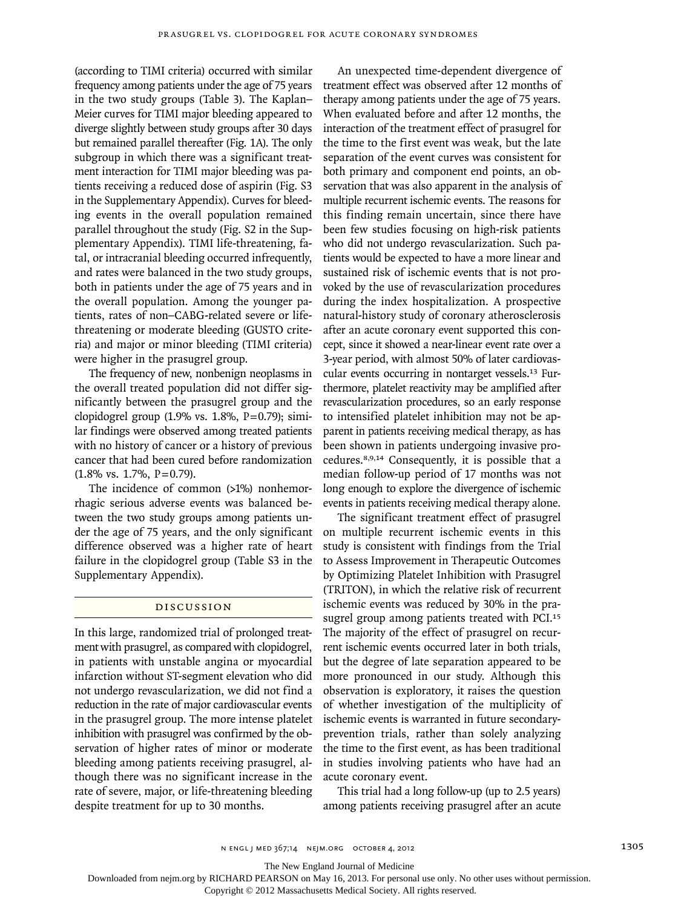(according to TIMI criteria) occurred with similar frequency among patients under the age of 75 years in the two study groups (Table 3). The Kaplan– Meier curves for TIMI major bleeding appeared to diverge slightly between study groups after 30 days but remained parallel thereafter (Fig. 1A). The only subgroup in which there was a significant treatment interaction for TIMI major bleeding was patients receiving a reduced dose of aspirin (Fig. S3 in the Supplementary Appendix). Curves for bleeding events in the overall population remained parallel throughout the study (Fig. S2 in the Supplementary Appendix). TIMI life-threatening, fatal, or intracranial bleeding occurred infrequently, and rates were balanced in the two study groups, both in patients under the age of 75 years and in the overall population. Among the younger patients, rates of non–CABG-related severe or lifethreatening or moderate bleeding (GUSTO criteria) and major or minor bleeding (TIMI criteria) were higher in the prasugrel group.

The frequency of new, nonbenign neoplasms in the overall treated population did not differ significantly between the prasugrel group and the clopidogrel group  $(1.9\% \text{ vs. } 1.8\%, \text{ P=0.79}); \text{ simi-}$ lar findings were observed among treated patients with no history of cancer or a history of previous cancer that had been cured before randomization  $(1.8\% \text{ vs. } 1.7\% \text{ , } P=0.79)$ .

The incidence of common (>1%) nonhemorrhagic serious adverse events was balanced between the two study groups among patients under the age of 75 years, and the only significant difference observed was a higher rate of heart failure in the clopidogrel group (Table S3 in the Supplementary Appendix).

# Discussion

In this large, randomized trial of prolonged treatment with prasugrel, as compared with clopidogrel, in patients with unstable angina or myocardial infarction without ST-segment elevation who did not undergo revascularization, we did not find a reduction in the rate of major cardiovascular events in the prasugrel group. The more intense platelet inhibition with prasugrel was confirmed by the observation of higher rates of minor or moderate bleeding among patients receiving prasugrel, although there was no significant increase in the rate of severe, major, or life-threatening bleeding despite treatment for up to 30 months.

An unexpected time-dependent divergence of treatment effect was observed after 12 months of therapy among patients under the age of 75 years. When evaluated before and after 12 months, the interaction of the treatment effect of prasugrel for the time to the first event was weak, but the late separation of the event curves was consistent for both primary and component end points, an observation that was also apparent in the analysis of multiple recurrent ischemic events. The reasons for this finding remain uncertain, since there have been few studies focusing on high-risk patients who did not undergo revascularization. Such patients would be expected to have a more linear and sustained risk of ischemic events that is not provoked by the use of revascularization procedures during the index hospitalization. A prospective natural-history study of coronary atherosclerosis after an acute coronary event supported this concept, since it showed a near-linear event rate over a 3-year period, with almost 50% of later cardiovascular events occurring in nontarget vessels.13 Furthermore, platelet reactivity may be amplified after revascularization procedures, so an early response to intensified platelet inhibition may not be apparent in patients receiving medical therapy, as has been shown in patients undergoing invasive procedures.8,9,14 Consequently, it is possible that a median follow-up period of 17 months was not long enough to explore the divergence of ischemic events in patients receiving medical therapy alone.

The significant treatment effect of prasugrel on multiple recurrent ischemic events in this study is consistent with findings from the Trial to Assess Improvement in Therapeutic Outcomes by Optimizing Platelet Inhibition with Prasugrel (TRITON), in which the relative risk of recurrent ischemic events was reduced by 30% in the prasugrel group among patients treated with PCI.<sup>15</sup> The majority of the effect of prasugrel on recurrent ischemic events occurred later in both trials, but the degree of late separation appeared to be more pronounced in our study. Although this observation is exploratory, it raises the question of whether investigation of the multiplicity of ischemic events is warranted in future secondaryprevention trials, rather than solely analyzing the time to the first event, as has been traditional in studies involving patients who have had an acute coronary event.

This trial had a long follow-up (up to 2.5 years) among patients receiving prasugrel after an acute

The New England Journal of Medicine

Downloaded from nejm.org by RICHARD PEARSON on May 16, 2013. For personal use only. No other uses without permission.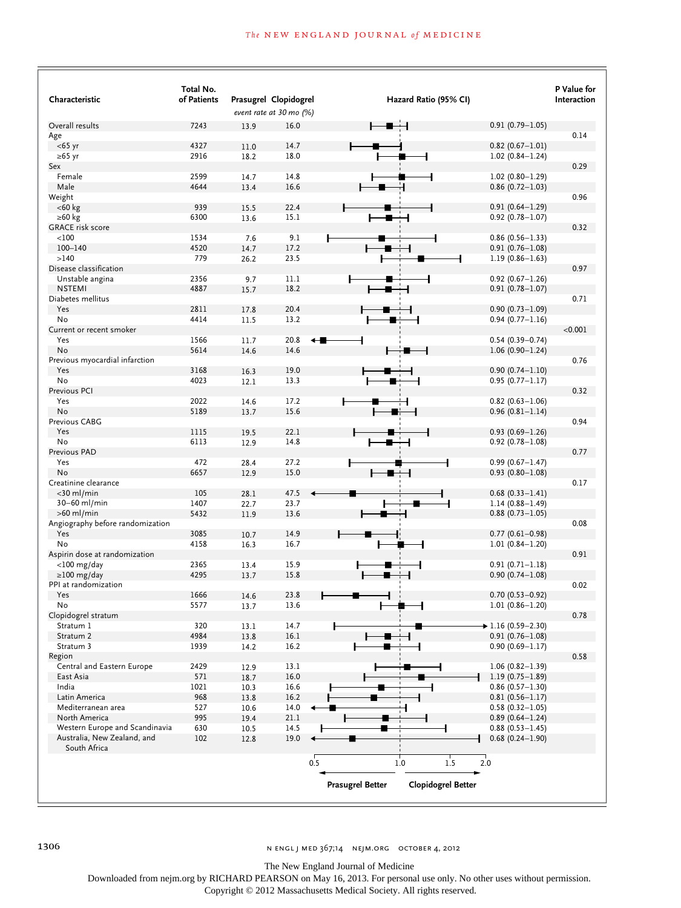| Characteristic                     | Total No.<br>of Patients |              | Prasugrel Clopidogrel      | Hazard Ratio (95% CI)                                | P Value for<br>Interaction |
|------------------------------------|--------------------------|--------------|----------------------------|------------------------------------------------------|----------------------------|
|                                    |                          |              | event rate at 30 mo $(\%)$ |                                                      |                            |
| Overall results                    | 7243                     | 13.9         | 16.0                       | $0.91(0.79 - 1.05)$                                  |                            |
| Age                                |                          |              |                            |                                                      | 0.14                       |
| $<$ 65 yr                          | 4327                     | 11.0         | 14.7                       | $0.82$ (0.67-1.01)                                   |                            |
| ≥65 yr                             | 2916                     | 18.2         | 18.0                       | $1.02(0.84 - 1.24)$                                  |                            |
| Sex                                |                          |              |                            |                                                      | 0.29                       |
| Female                             | 2599                     | 14.7         | 14.8                       | $1.02(0.80 - 1.29)$                                  |                            |
| Male                               | 4644                     | 13.4         | 16.6                       | $0.86(0.72 - 1.03)$                                  |                            |
| Weight                             |                          |              |                            |                                                      | 0.96                       |
| $<$ 60 $kg$                        | 939                      | 15.5         | 22.4                       | $0.91(0.64 - 1.29)$                                  |                            |
| $\geq 60$ kg                       | 6300                     | 13.6         | 15.1                       | $0.92(0.78 - 1.07)$                                  |                            |
| <b>GRACE</b> risk score            |                          |              |                            |                                                      | 0.32                       |
| $<$ 100                            | 1534                     | 7.6          | 9.1                        | $0.86(0.56 - 1.33)$                                  |                            |
| 100-140                            | 4520                     | 14.7         | 17.2                       | $0.91(0.76 - 1.08)$                                  |                            |
| >140                               | 779                      | 26.2         | 23.5                       | $1.19(0.86 - 1.63)$                                  |                            |
| Disease classification             |                          |              |                            |                                                      | 0.97                       |
| Unstable angina                    | 2356                     | 9.7          | 11.1                       | $0.92$ (0.67-1.26)                                   |                            |
| <b>NSTEMI</b><br>Diabetes mellitus | 4887                     | 15.7         | 18.2                       | $0.91(0.78 - 1.07)$                                  | 0.71                       |
| Yes                                | 2811                     |              | 20.4                       | $0.90(0.73 - 1.09)$                                  |                            |
| No                                 | 4414                     | 17.8<br>11.5 | 13.2                       | $0.94(0.77 - 1.16)$                                  |                            |
| Current or recent smoker           |                          |              |                            |                                                      | < 0.001                    |
| Yes                                | 1566                     | 11.7         | 20.8                       | $0.54(0.39 - 0.74)$                                  |                            |
| No                                 | 5614                     | 14.6         | 14.6                       | $1.06(0.90 - 1.24)$                                  |                            |
| Previous myocardial infarction     |                          |              |                            |                                                      | 0.76                       |
| Yes                                | 3168                     | 16.3         | 19.0                       | $0.90(0.74 - 1.10)$                                  |                            |
| No                                 | 4023                     | 12.1         | 13.3                       | $0.95(0.77 - 1.17)$                                  |                            |
| Previous PCI                       |                          |              |                            |                                                      | 0.32                       |
| Yes                                | 2022                     | 14.6         | 17.2                       | $0.82$ (0.63-1.06)                                   |                            |
| No                                 | 5189                     | 13.7         | 15.6                       | $0.96(0.81 - 1.14)$                                  |                            |
| Previous CABG                      |                          |              |                            |                                                      | 0.94                       |
| Yes                                | 1115                     | 19.5         | 22.1                       | $0.93(0.69 - 1.26)$                                  |                            |
| No                                 | 6113                     | 12.9         | 14.8                       | $0.92(0.78 - 1.08)$                                  |                            |
| Previous PAD                       |                          |              |                            |                                                      | 0.77                       |
| Yes                                | 472                      | 28.4         | 27.2                       | $0.99(0.67 - 1.47)$                                  |                            |
| No                                 | 6657                     | 12.9         | 15.0                       | $0.93(0.80 - 1.08)$                                  |                            |
| Creatinine clearance               |                          |              |                            |                                                      | 0.17                       |
| $<$ 30 ml/min                      | 105                      | 28.1         | 47.5                       | $0.68$ (0.33-1.41)                                   |                            |
| 30-60 ml/min                       | 1407                     | 22.7         | 23.7                       | $1.14(0.88 - 1.49)$                                  |                            |
| $>60$ ml/min                       | 5432                     | 11.9         | 13.6                       | $0.88(0.73 - 1.05)$                                  |                            |
| Angiography before randomization   |                          |              |                            |                                                      | 0.08                       |
| Yes                                | 3085                     | 10.7         | 14.9                       | $0.77(0.61 - 0.98)$                                  |                            |
| No                                 | 4158                     | 16.3         | 16.7                       | $1.01(0.84 - 1.20)$                                  |                            |
| Aspirin dose at randomization      |                          |              |                            |                                                      | 0.91                       |
| $<$ 100 mg/day                     | 2365                     | 13.4         | 15.9                       | $0.91(0.71 - 1.18)$                                  |                            |
| $\geq$ 100 mg/day                  | 4295                     | 13.7         | 15.8                       | $0.90(0.74 - 1.08)$                                  |                            |
| PPI at randomization               |                          |              |                            |                                                      | 0.02                       |
| Yes                                | 1666                     | 14.6         | 23.8                       | $0.70(0.53 - 0.92)$                                  |                            |
| No                                 | 5577                     | 13.7         | 13.6                       | $1.01(0.86 - 1.20)$                                  |                            |
| Clopidogrel stratum                |                          |              |                            |                                                      | 0.78                       |
| Stratum 1                          | 320                      | 13.1         | 14.7                       | $\blacktriangleright$ 1.16 (0.59-2.30)               |                            |
| Stratum 2<br>Stratum 3             | 4984                     | 13.8         | 16.1                       | $0.91(0.76 - 1.08)$                                  |                            |
| Region                             | 1939                     | 14.2         | 16.2                       | $0.90(0.69 - 1.17)$<br>Н                             | 0.58                       |
| Central and Eastern Europe         | 2429                     |              | 13.1                       | $1.06(0.82 - 1.39)$<br>┫                             |                            |
| East Asia                          | 571                      | 12.9         | 16.0                       | $1.19(0.75 - 1.89)$                                  |                            |
| India                              | 1021                     | 18.7<br>10.3 | 16.6                       | $0.86(0.57 - 1.30)$                                  |                            |
| Latin America                      | 968                      |              | 16.2                       | $0.81(0.56 - 1.17)$                                  |                            |
| Mediterranean area                 | 527                      | 13.8<br>10.6 | 14.0                       | $0.58(0.32 - 1.05)$                                  |                            |
| North America                      | 995                      | 19.4         | 21.1                       | $0.89(0.64 - 1.24)$                                  |                            |
| Western Europe and Scandinavia     | 630                      | 10.5         | 14.5                       | ┫<br>$0.88(0.53 - 1.45)$                             |                            |
| Australia, New Zealand, and        | 102                      | 12.8         | 19.0                       | $0.68$ (0.24-1.90)                                   |                            |
| South Africa                       |                          |              |                            |                                                      |                            |
|                                    |                          |              |                            |                                                      |                            |
|                                    |                          |              | 0.5                        | 1.0<br>1.5<br>2.0                                    |                            |
|                                    |                          |              |                            |                                                      |                            |
|                                    |                          |              |                            | <b>Prasugrel Better</b><br><b>Clopidogrel Better</b> |                            |
|                                    |                          |              |                            |                                                      |                            |

The New England Journal of Medicine

Downloaded from nejm.org by RICHARD PEARSON on May 16, 2013. For personal use only. No other uses without permission.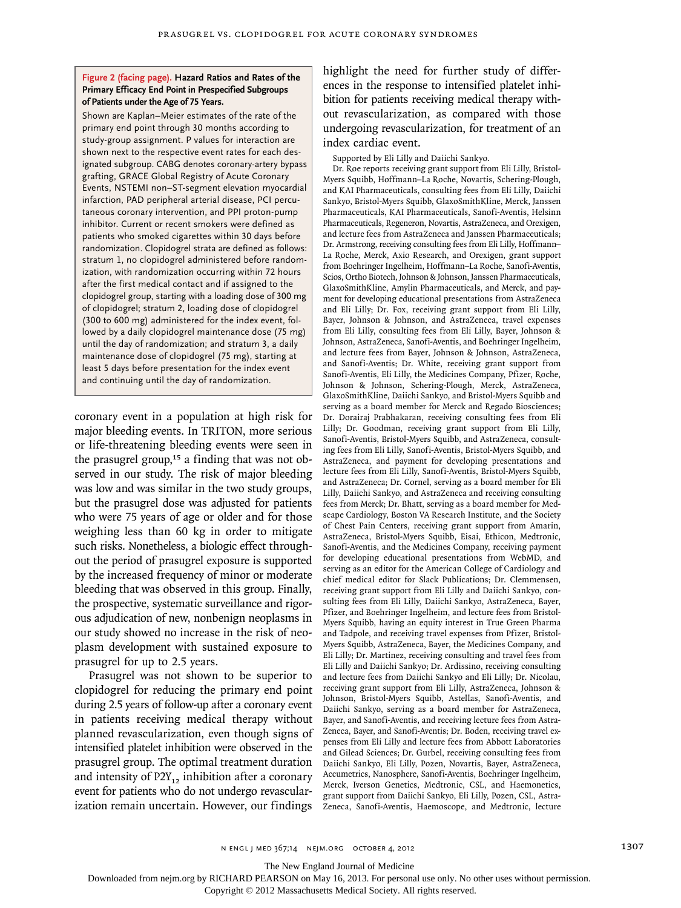#### **Figure 2 (facing page). Hazard Ratios and Rates of the Primary Efficacy End Point in Prespecified Subgroups of Patients under the Age of 75 Years.**

Shown are Kaplan–Meier estimates of the rate of the primary end point through 30 months according to study-group assignment. P values for interaction are shown next to the respective event rates for each designated subgroup. CABG denotes coronary-artery bypass grafting, GRACE Global Registry of Acute Coronary Events, NSTEMI non–ST-segment elevation myocardial infarction, PAD peripheral arterial disease, PCI percutaneous coronary intervention, and PPI proton-pump inhibitor. Current or recent smokers were defined as patients who smoked cigarettes within 30 days before randomization. Clopidogrel strata are defined as follows: stratum 1, no clopidogrel administered before randomization, with randomization occurring within 72 hours after the first medical contact and if assigned to the clopidogrel group, starting with a loading dose of 300 mg of clopidogrel; stratum 2, loading dose of clopidogrel (300 to 600 mg) administered for the index event, followed by a daily clopidogrel maintenance dose (75 mg) until the day of randomization; and stratum 3, a daily maintenance dose of clopidogrel (75 mg), starting at least 5 days before presentation for the index event and continuing until the day of randomization.

coronary event in a population at high risk for major bleeding events. In TRITON, more serious or life-threatening bleeding events were seen in the prasugrel group,<sup>15</sup> a finding that was not observed in our study. The risk of major bleeding was low and was similar in the two study groups, but the prasugrel dose was adjusted for patients who were 75 years of age or older and for those weighing less than 60 kg in order to mitigate such risks. Nonetheless, a biologic effect throughout the period of prasugrel exposure is supported by the increased frequency of minor or moderate bleeding that was observed in this group. Finally, the prospective, systematic surveillance and rigorous adjudication of new, nonbenign neoplasms in our study showed no increase in the risk of neoplasm development with sustained exposure to prasugrel for up to 2.5 years.

Prasugrel was not shown to be superior to clopidogrel for reducing the primary end point during 2.5 years of follow-up after a coronary event in patients receiving medical therapy without planned revascularization, even though signs of intensified platelet inhibition were observed in the prasugrel group. The optimal treatment duration and intensity of  $P2Y_{12}$  inhibition after a coronary event for patients who do not undergo revascularization remain uncertain. However, our findings

highlight the need for further study of differences in the response to intensified platelet inhibition for patients receiving medical therapy without revascularization, as compared with those undergoing revascularization, for treatment of an index cardiac event.

Supported by Eli Lilly and Daiichi Sankyo.

Dr. Roe reports receiving grant support from Eli Lilly, Bristol-Myers Squibb, Hoffmann–La Roche, Novartis, Schering-Plough, and KAI Pharmaceuticals, consulting fees from Eli Lilly, Daiichi Sankyo, Bristol-Myers Squibb, GlaxoSmithKline, Merck, Janssen Pharmaceuticals, KAI Pharmaceuticals, Sanofi-Aventis, Helsinn Pharmaceuticals, Regeneron, Novartis, AstraZeneca, and Orexigen, and lecture fees from AstraZeneca and Janssen Pharmaceuticals; Dr. Armstrong, receiving consulting fees from Eli Lilly, Hoffmann– La Roche, Merck, Axio Research, and Orexigen, grant support from Boehringer Ingelheim, Hoffmann–La Roche, Sanofi-Aventis, Scios, Ortho Biotech, Johnson & Johnson, Janssen Pharmaceuticals, GlaxoSmithKline, Amylin Pharmaceuticals, and Merck, and payment for developing educational presentations from AstraZeneca and Eli Lilly; Dr. Fox, receiving grant support from Eli Lilly, Bayer, Johnson & Johnson, and AstraZeneca, travel expenses from Eli Lilly, consulting fees from Eli Lilly, Bayer, Johnson & Johnson, AstraZeneca, Sanofi-Aventis, and Boehringer Ingelheim, and lecture fees from Bayer, Johnson & Johnson, AstraZeneca, and Sanofi-Aventis; Dr. White, receiving grant support from Sanofi-Aventis, Eli Lilly, the Medicines Company, Pfizer, Roche, Johnson & Johnson, Schering-Plough, Merck, AstraZeneca, GlaxoSmithKline, Daiichi Sankyo, and Bristol-Myers Squibb and serving as a board member for Merck and Regado Biosciences; Dr. Dorairaj Prabhakaran, receiving consulting fees from Eli Lilly; Dr. Goodman, receiving grant support from Eli Lilly, Sanofi-Aventis, Bristol-Myers Squibb, and AstraZeneca, consulting fees from Eli Lilly, Sanofi-Aventis, Bristol-Myers Squibb, and AstraZeneca, and payment for developing presentations and lecture fees from Eli Lilly, Sanofi-Aventis, Bristol-Myers Squibb, and AstraZeneca; Dr. Cornel, serving as a board member for Eli Lilly, Daiichi Sankyo, and AstraZeneca and receiving consulting fees from Merck; Dr. Bhatt, serving as a board member for Medscape Cardiology, Boston VA Research Institute, and the Society of Chest Pain Centers, receiving grant support from Amarin, AstraZeneca, Bristol-Myers Squibb, Eisai, Ethicon, Medtronic, Sanofi-Aventis, and the Medicines Company, receiving payment for developing educational presentations from WebMD, and serving as an editor for the American College of Cardiology and chief medical editor for Slack Publications; Dr. Clemmensen, receiving grant support from Eli Lilly and Daiichi Sankyo, consulting fees from Eli Lilly, Daiichi Sankyo, AstraZeneca, Bayer, Pfizer, and Boehringer Ingelheim, and lecture fees from Bristol-Myers Squibb, having an equity interest in True Green Pharma and Tadpole, and receiving travel expenses from Pfizer, Bristol-Myers Squibb, AstraZeneca, Bayer, the Medicines Company, and Eli Lilly; Dr. Martinez, receiving consulting and travel fees from Eli Lilly and Daiichi Sankyo; Dr. Ardissino, receiving consulting and lecture fees from Daiichi Sankyo and Eli Lilly; Dr. Nicolau, receiving grant support from Eli Lilly, AstraZeneca, Johnson & Johnson, Bristol-Myers Squibb, Astellas, Sanofi-Aventis, and Daiichi Sankyo, serving as a board member for AstraZeneca, Bayer, and Sanofi-Aventis, and receiving lecture fees from Astra-Zeneca, Bayer, and Sanofi-Aventis; Dr. Boden, receiving travel expenses from Eli Lilly and lecture fees from Abbott Laboratories and Gilead Sciences; Dr. Gurbel, receiving consulting fees from Daiichi Sankyo, Eli Lilly, Pozen, Novartis, Bayer, AstraZeneca, Accumetrics, Nanosphere, Sanofi-Aventis, Boehringer Ingelheim, Merck, Iverson Genetics, Medtronic, CSL, and Haemonetics, grant support from Daiichi Sankyo, Eli Lilly, Pozen, CSL, Astra-Zeneca, Sanofi-Aventis, Haemoscope, and Medtronic, lecture

The New England Journal of Medicine

Downloaded from nejm.org by RICHARD PEARSON on May 16, 2013. For personal use only. No other uses without permission.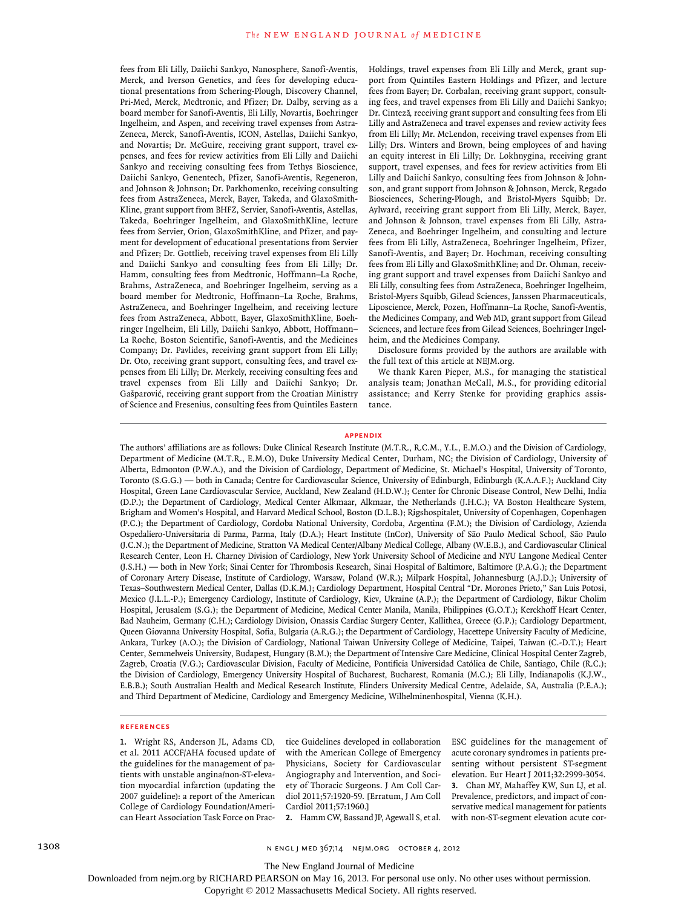fees from Eli Lilly, Daiichi Sankyo, Nanosphere, Sanofi-Aventis, Merck, and Iverson Genetics, and fees for developing educational presentations from Schering-Plough, Discovery Channel, Pri-Med, Merck, Medtronic, and Pfizer; Dr. Dalby, serving as a board member for Sanofi-Aventis, Eli Lilly, Novartis, Boehringer Ingelheim, and Aspen, and receiving travel expenses from Astra-Zeneca, Merck, Sanofi-Aventis, ICON, Astellas, Daiichi Sankyo, and Novartis; Dr. McGuire, receiving grant support, travel expenses, and fees for review activities from Eli Lilly and Daiichi Sankyo and receiving consulting fees from Tethys Bioscience, Daiichi Sankyo, Genentech, Pfizer, Sanofi-Aventis, Regeneron, and Johnson & Johnson; Dr. Parkhomenko, receiving consulting fees from AstraZeneca, Merck, Bayer, Takeda, and GlaxoSmith-Kline, grant support from BHFZ, Servier, Sanofi-Aventis, Astellas, Takeda, Boehringer Ingelheim, and GlaxoSmithKline, lecture fees from Servier, Orion, GlaxoSmithKline, and Pfizer, and payment for development of educational presentations from Servier and Pfizer; Dr. Gottlieb, receiving travel expenses from Eli Lilly and Daiichi Sankyo and consulting fees from Eli Lilly; Dr. Hamm, consulting fees from Medtronic, Hoffmann–La Roche, Brahms, AstraZeneca, and Boehringer Ingelheim, serving as a board member for Medtronic, Hoffmann–La Roche, Brahms, AstraZeneca, and Boehringer Ingelheim, and receiving lecture fees from AstraZeneca, Abbott, Bayer, GlaxoSmithKline, Boehringer Ingelheim, Eli Lilly, Daiichi Sankyo, Abbott, Hoffmann– La Roche, Boston Scientific, Sanofi-Aventis, and the Medicines Company; Dr. Pavlides, receiving grant support from Eli Lilly; Dr. Oto, receiving grant support, consulting fees, and travel expenses from Eli Lilly; Dr. Merkely, receiving consulting fees and travel expenses from Eli Lilly and Daiichi Sankyo; Dr. Gašparović, receiving grant support from the Croatian Ministry of Science and Fresenius, consulting fees from Quintiles Eastern Holdings, travel expenses from Eli Lilly and Merck, grant support from Quintiles Eastern Holdings and Pfizer, and lecture fees from Bayer; Dr. Corbalan, receiving grant support, consulting fees, and travel expenses from Eli Lilly and Daiichi Sankyo; Dr. Cinteză, receiving grant support and consulting fees from Eli Lilly and AstraZeneca and travel expenses and review activity fees from Eli Lilly; Mr. McLendon, receiving travel expenses from Eli Lilly; Drs. Winters and Brown, being employees of and having an equity interest in Eli Lilly; Dr. Lokhnygina, receiving grant support, travel expenses, and fees for review activities from Eli Lilly and Daiichi Sankyo, consulting fees from Johnson & Johnson, and grant support from Johnson & Johnson, Merck, Regado Biosciences, Schering-Plough, and Bristol-Myers Squibb; Dr. Aylward, receiving grant support from Eli Lilly, Merck, Bayer, and Johnson & Johnson, travel expenses from Eli Lilly, Astra-Zeneca, and Boehringer Ingelheim, and consulting and lecture fees from Eli Lilly, AstraZeneca, Boehringer Ingelheim, Pfizer, Sanofi-Aventis, and Bayer; Dr. Hochman, receiving consulting fees from Eli Lilly and GlaxoSmithKline; and Dr. Ohman, receiving grant support and travel expenses from Daiichi Sankyo and Eli Lilly, consulting fees from AstraZeneca, Boehringer Ingelheim, Bristol-Myers Squibb, Gilead Sciences, Janssen Pharmaceuticals, Liposcience, Merck, Pozen, Hoffmann–La Roche, Sanofi-Aventis, the Medicines Company, and Web MD, grant support from Gilead Sciences, and lecture fees from Gilead Sciences, Boehringer Ingelheim, and the Medicines Company.

Disclosure forms provided by the authors are available with the full text of this article at NEJM.org.

We thank Karen Pieper, M.S., for managing the statistical analysis team; Jonathan McCall, M.S., for providing editorial assistance; and Kerry Stenke for providing graphics assistance.

#### **Appendix**

The authors' affiliations are as follows: Duke Clinical Research Institute (M.T.R., R.C.M., Y.L., E.M.O.) and the Division of Cardiology, Department of Medicine (M.T.R., E.M.O), Duke University Medical Center, Durham, NC; the Division of Cardiology, University of Alberta, Edmonton (P.W.A.), and the Division of Cardiology, Department of Medicine, St. Michael's Hospital, University of Toronto, Toronto (S.G.G.) — both in Canada; Centre for Cardiovascular Science, University of Edinburgh, Edinburgh (K.A.A.F.); Auckland City Hospital, Green Lane Cardiovascular Service, Auckland, New Zealand (H.D.W.); Center for Chronic Disease Control, New Delhi, India (D.P.); the Department of Cardiology, Medical Center Alkmaar, Alkmaar, the Netherlands (J.H.C.); VA Boston Healthcare System, Brigham and Women's Hospital, and Harvard Medical School, Boston (D.L.B.); Rigshospitalet, University of Copenhagen, Copenhagen (P.C.); the Department of Cardiology, Cordoba National University, Cordoba, Argentina (F.M.); the Division of Cardiology, Azienda Ospedaliero-Universitaria di Parma, Parma, Italy (D.A.); Heart Institute (InCor), University of São Paulo Medical School, São Paulo (J.C.N.); the Department of Medicine, Stratton VA Medical Center/Albany Medical College, Albany (W.E.B.), and Cardiovascular Clinical Research Center, Leon H. Charney Division of Cardiology, New York University School of Medicine and NYU Langone Medical Center (J.S.H.) — both in New York; Sinai Center for Thrombosis Research, Sinai Hospital of Baltimore, Baltimore (P.A.G.); the Department of Coronary Artery Disease, Institute of Cardiology, Warsaw, Poland (W.R.); Milpark Hospital, Johannesburg (A.J.D.); University of Texas–Southwestern Medical Center, Dallas (D.K.M.); Cardiology Department, Hospital Central "Dr. Morones Prieto," San Luis Potosi, Mexico (J.L.L.-P.); Emergency Cardiology, Institute of Cardiology, Kiev, Ukraine (A.P.); the Department of Cardiology, Bikur Cholim Hospital, Jerusalem (S.G.); the Department of Medicine, Medical Center Manila, Manila, Philippines (G.O.T.); Kerckhoff Heart Center, Bad Nauheim, Germany (C.H.); Cardiology Division, Onassis Cardiac Surgery Center, Kallithea, Greece (G.P.); Cardiology Department, Queen Giovanna University Hospital, Sofia, Bulgaria (A.R.G.); the Department of Cardiology, Hacettepe University Faculty of Medicine, Ankara, Turkey (A.O.); the Division of Cardiology, National Taiwan University College of Medicine, Taipei, Taiwan (C.-D.T.); Heart Center, Semmelweis University, Budapest, Hungary (B.M.); the Department of Intensive Care Medicine, Clinical Hospital Center Zagreb, Zagreb, Croatia (V.G.); Cardiovascular Division, Faculty of Medicine, Pontificia Universidad Católica de Chile, Santiago, Chile (R.C.); the Division of Cardiology, Emergency University Hospital of Bucharest, Bucharest, Romania (M.C.); Eli Lilly, Indianapolis (K.J.W., E.B.B.); South Australian Health and Medical Research Institute, Flinders University Medical Centre, Adelaide, SA, Australia (P.E.A.); and Third Department of Medicine, Cardiology and Emergency Medicine, Wilhelminenhospital, Vienna (K.H.).

#### **References**

**1.** Wright RS, Anderson JL, Adams CD, et al. 2011 ACCF/AHA focused update of the guidelines for the management of patients with unstable angina/non-ST-elevation myocardial infarction (updating the 2007 guideline): a report of the American College of Cardiology Foundation/American Heart Association Task Force on Practice Guidelines developed in collaboration with the American College of Emergency Physicians, Society for Cardiovascular Angiography and Intervention, and Society of Thoracic Surgeons. J Am Coll Cardiol 2011;57:1920-59. [Erratum, J Am Coll Cardiol 2011;57:1960.]

**2.** Hamm CW, Bassand JP, Agewall S, et al.

ESC guidelines for the management of acute coronary syndromes in patients presenting without persistent ST-segment elevation. Eur Heart J 2011;32:2999-3054. **3.** Chan MY, Mahaffey KW, Sun LJ, et al. Prevalence, predictors, and impact of conservative medical management for patients with non-ST-segment elevation acute cor-

1308 **1208** n engl j med 367;14 nejm.org october 4, 2012

The New England Journal of Medicine

Downloaded from nejm.org by RICHARD PEARSON on May 16, 2013. For personal use only. No other uses without permission.